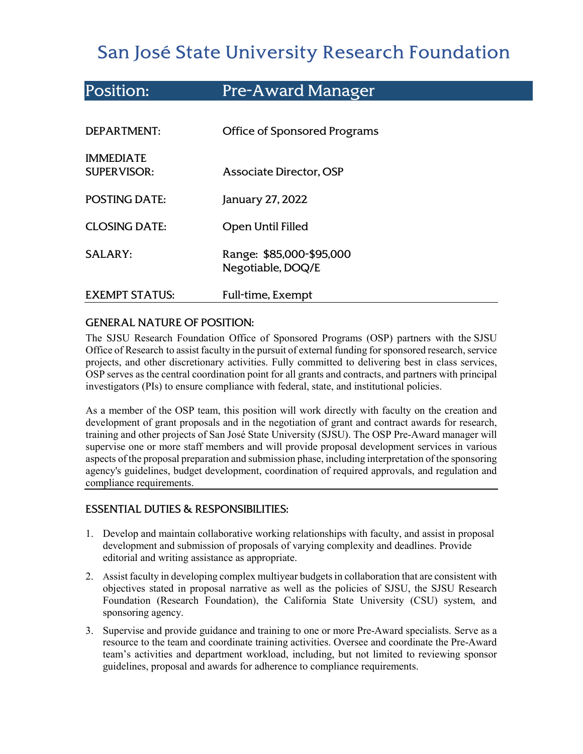# San José State University Research Foundation

| Position:                              | <b>Pre-Award Manager</b>                      |
|----------------------------------------|-----------------------------------------------|
|                                        |                                               |
| DEPARTMENT:                            | <b>Office of Sponsored Programs</b>           |
| <b>IMMEDIATE</b><br><b>SUPERVISOR:</b> | Associate Director, OSP                       |
| <b>POSTING DATE:</b>                   | January 27, 2022                              |
| <b>CLOSING DATE:</b>                   | Open Until Filled                             |
| <b>SALARY:</b>                         | Range: \$85,000-\$95,000<br>Negotiable, DOQ/E |
| <b>EXEMPT STATUS:</b>                  | Full-time, Exempt                             |

## GENERAL NATURE OF POSITION:

The SJSU Research Foundation Office of Sponsored Programs (OSP) partners with the [SJSU](http://www.sjsu.edu/research/)  [Office of Research](http://www.sjsu.edu/research/) to assist faculty in the pursuit of external funding for sponsored research, service projects, and other discretionary activities. Fully committed to delivering best in class services, OSP serves as the central coordination point for all grants and contracts, and partners with principal investigators (PIs) to ensure compliance with federal, state, and institutional policies.

As a member of the OSP team, this position will work directly with faculty on the creation and development of grant proposals and in the negotiation of grant and contract awards for research, training and other projects of San José State University (SJSU). The OSP Pre-Award manager will supervise one or more staff members and will provide proposal development services in various aspects of the proposal preparation and submission phase, including interpretation of the sponsoring agency's guidelines, budget development, coordination of required approvals, and regulation and compliance requirements.

## ESSENTIAL DUTIES & RESPONSIBILITIES:

- 1. Develop and maintain collaborative working relationships with faculty, and assist in proposal development and submission of proposals of varying complexity and deadlines. Provide editorial and writing assistance as appropriate.
- 2. Assist faculty in developing complex multiyear budgets in collaboration that are consistent with objectives stated in proposal narrative as well as the policies of SJSU, the SJSU Research Foundation (Research Foundation), the California State University (CSU) system, and sponsoring agency.
- 3. Supervise and provide guidance and training to one or more Pre-Award specialists. Serve as a resource to the team and coordinate training activities. Oversee and coordinate the Pre-Award team's activities and department workload, including, but not limited to reviewing sponsor guidelines, proposal and awards for adherence to compliance requirements.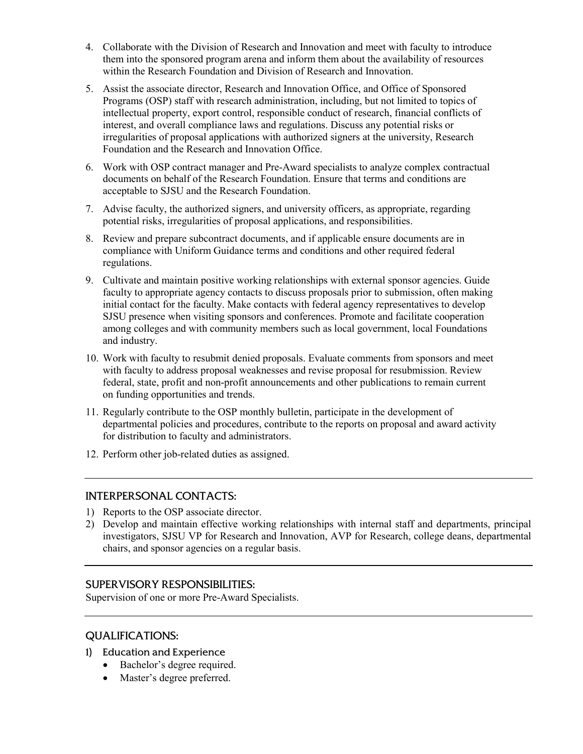- 4. Collaborate with the Division of Research and Innovation and meet with faculty to introduce them into the sponsored program arena and inform them about the availability of resources within the Research Foundation and Division of Research and Innovation.
- 5. Assist the associate director, Research and Innovation Office, and Office of Sponsored Programs (OSP) staff with research administration, including, but not limited to topics of intellectual property, export control, responsible conduct of research, financial conflicts of interest, and overall compliance laws and regulations. Discuss any potential risks or irregularities of proposal applications with authorized signers at the university, Research Foundation and the Research and Innovation Office.
- 6. Work with OSP contract manager and Pre-Award specialists to analyze complex contractual documents on behalf of the Research Foundation. Ensure that terms and conditions are acceptable to SJSU and the Research Foundation.
- 7. Advise faculty, the authorized signers, and university officers, as appropriate, regarding potential risks, irregularities of proposal applications, and responsibilities.
- 8. Review and prepare subcontract documents, and if applicable ensure documents are in compliance with Uniform Guidance terms and conditions and other required federal regulations.
- 9. Cultivate and maintain positive working relationships with external sponsor agencies. Guide faculty to appropriate agency contacts to discuss proposals prior to submission, often making initial contact for the faculty. Make contacts with federal agency representatives to develop SJSU presence when visiting sponsors and conferences. Promote and facilitate cooperation among colleges and with community members such as local government, local Foundations and industry.
- 10. Work with faculty to resubmit denied proposals. Evaluate comments from sponsors and meet with faculty to address proposal weaknesses and revise proposal for resubmission. Review federal, state, profit and non-profit announcements and other publications to remain current on funding opportunities and trends.
- 11. Regularly contribute to the OSP monthly bulletin, participate in the development of departmental policies and procedures, contribute to the reports on proposal and award activity for distribution to faculty and administrators.
- 12. Perform other job-related duties as assigned.

#### INTERPERSONAL CONTACTS:

- 1) Reports to the OSP associate director.
- 2) Develop and maintain effective working relationships with internal staff and departments, principal investigators, SJSU VP for Research and Innovation, AVP for Research, college deans, departmental chairs, and sponsor agencies on a regular basis.

#### SUPERVISORY RESPONSIBILITIES:

Supervision of one or more Pre-Award Specialists.

#### QUALIFICATIONS:

- 1) Education and Experience
	- Bachelor's degree required.
	- Master's degree preferred.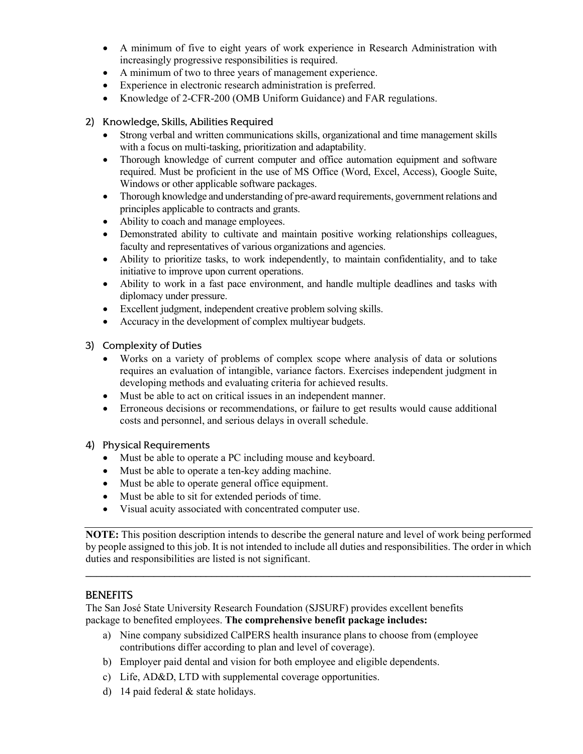- A minimum of five to eight years of work experience in Research Administration with increasingly progressive responsibilities is required.
- A minimum of two to three years of management experience.
- Experience in electronic research administration is preferred.
- Knowledge of 2-CFR-200 (OMB Uniform Guidance) and FAR regulations.

#### 2) Knowledge, Skills, Abilities Required

- Strong verbal and written communications skills, organizational and time management skills with a focus on multi-tasking, prioritization and adaptability.
- Thorough knowledge of current computer and office automation equipment and software required. Must be proficient in the use of MS Office (Word, Excel, Access), Google Suite, Windows or other applicable software packages.
- Thorough knowledge and understanding of pre-award requirements, government relations and principles applicable to contracts and grants.
- Ability to coach and manage employees.
- Demonstrated ability to cultivate and maintain positive working relationships colleagues, faculty and representatives of various organizations and agencies.
- Ability to prioritize tasks, to work independently, to maintain confidentiality, and to take initiative to improve upon current operations.
- Ability to work in a fast pace environment, and handle multiple deadlines and tasks with diplomacy under pressure.
- Excellent judgment, independent creative problem solving skills.
- Accuracy in the development of complex multiyear budgets.
- 3) Complexity of Duties
	- Works on a variety of problems of complex scope where analysis of data or solutions requires an evaluation of intangible, variance factors. Exercises independent judgment in developing methods and evaluating criteria for achieved results.
	- Must be able to act on critical issues in an independent manner.
	- Erroneous decisions or recommendations, or failure to get results would cause additional costs and personnel, and serious delays in overall schedule.

#### 4) Physical Requirements

- Must be able to operate a PC including mouse and keyboard.
- Must be able to operate a ten-key adding machine.
- Must be able to operate general office equipment.
- Must be able to sit for extended periods of time.
- Visual acuity associated with concentrated computer use.

**NOTE:** This position description intends to describe the general nature and level of work being performed by people assigned to this job. It is not intended to include all duties and responsibilities. The order in which duties and responsibilities are listed is not significant.

**\_\_\_\_\_\_\_\_\_\_\_\_\_\_\_\_\_\_\_\_\_\_\_\_\_\_\_\_\_\_\_\_\_\_\_\_\_\_\_\_\_\_\_\_\_\_\_\_\_\_\_\_\_\_\_\_\_\_\_\_\_\_\_\_\_\_\_\_\_\_\_\_\_\_\_\_\_\_\_\_\_\_\_\_\_**

#### **BENEFITS**

The San José State University Research Foundation (SJSURF) provides excellent benefits package to benefited employees. **The comprehensive benefit package includes:**

- a) Nine company subsidized CalPERS health insurance plans to choose from (employee contributions differ according to plan and level of coverage).
- b) Employer paid dental and vision for both employee and eligible dependents.
- c) Life, AD&D, LTD with supplemental coverage opportunities.
- d) 14 paid federal & state holidays.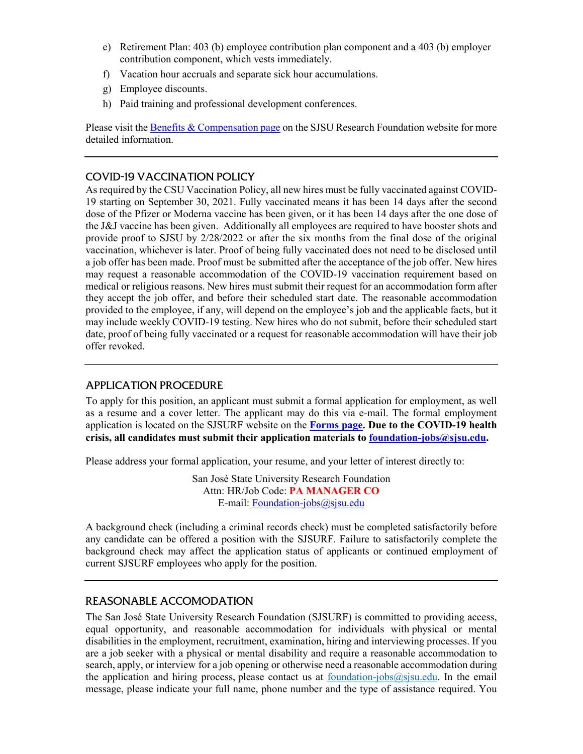- e) Retirement Plan: 403 (b) employee contribution plan component and a 403 (b) employer contribution component, which vests immediately.
- f) Vacation hour accruals and separate sick hour accumulations.
- g) Employee discounts.
- h) Paid training and professional development conferences.

Please visit th[e Benefits & Compensation page](https://www.sjsu.edu/researchfoundation/employees/benefits/index.php) on the SJSU Research Foundation website for more detailed information.

### COVID-19 VACCINATION POLICY

As required by the CSU Vaccination Policy, all new hires must be fully vaccinated against COVID-19 starting on September 30, 2021. Fully vaccinated means it has been 14 days after the second dose of the Pfizer or Moderna vaccine has been given, or it has been 14 days after the one dose of the J&J vaccine has been given. Additionally all employees are required to have booster shots and provide proof to SJSU by 2/28/2022 or after the six months from the final dose of the original vaccination, whichever is later. Proof of being fully vaccinated does not need to be disclosed until a job offer has been made. Proof must be submitted after the acceptance of the job offer. New hires may request a reasonable accommodation of the COVID-19 vaccination requirement based on medical or religious reasons. New hires must submit their request for an accommodation form after they accept the job offer, and before their scheduled start date. The reasonable accommodation provided to the employee, if any, will depend on the employee's job and the applicable facts, but it may include weekly COVID-19 testing. New hires who do not submit, before their scheduled start date, proof of being fully vaccinated or a request for reasonable accommodation will have their job offer revoked.

## APPLICATION PROCEDURE

To apply for this position, an applicant must submit a formal application for employment, as well as a resume and a cover letter. The applicant may do this via e-mail. The formal employment application is located on the SJSURF website on the **[Forms page.](https://www.sjsu.edu/researchfoundation/resources/forms/index.php) Due to the COVID-19 health crisis, all candidates must submit their application materials to [foundation-jobs@sjsu.edu.](mailto:foundation-jobs@sjsu.edu)** 

Please address your formal application, your resume, and your letter of interest directly to:

San José State University Research Foundation Attn: HR/Job Code: **PA MANAGER CO** E-mail: [Foundation-jobs@sjsu.edu](mailto:Foundation-jobs@sjsu.edu)

A background check (including a criminal records check) must be completed satisfactorily before any candidate can be offered a position with the SJSURF. Failure to satisfactorily complete the background check may affect the application status of applicants or continued employment of current SJSURF employees who apply for the position.

## REASONABLE ACCOMODATION

The San José State University Research Foundation (SJSURF) is committed to providing access, equal opportunity, and reasonable accommodation for individuals with physical or mental disabilities in the employment, recruitment, examination, hiring and interviewing processes. If you are a job seeker with a physical or mental disability and require a reasonable accommodation to search, apply, or interview for a job opening or otherwise need a reasonable accommodation during the application and hiring process, please contact us at foundation-jobs $\omega$ sjsu.edu. In the email message, please indicate your full name, phone number and the type of assistance required. You